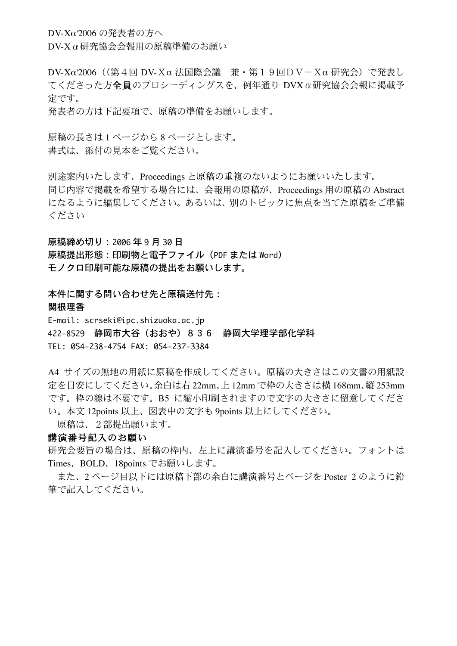DV-Xα'2006 の発表者の方へ

DV-Xα研究協会会報用の原稿準備のお願い

DV-Xα'2006((第4回 DV-Xα 法国際会議 兼・第19回DV-Xα 研究会)で発表し てくださった方全員のプロシーディングスを、例年通り DVXα研究協会会報に掲載予 定です。

発表者の方は下記要項で、原稿の準備をお願いします。

原稿の長さは1ページから8ページとします。 書式は、添付の見本をご覧ください。

別途案内いたします、Proceedings と原稿の重複のないようにお願いいたします。 同じ内容で掲載を希望する場合には、会報用の原稿が、Proceedings 用の原稿の Abstract になるように編集してください。あるいは、別のトピックに焦点を当てた原稿をご準備 ください

原稿締め切り:2006 年 9 月 30 日 原稿提出形態:印刷物と電子ファイル(PDF または Word) モノクロ印刷可能な原稿の提出をお願いします。

本件に関する問い合わせ先と原稿送付先: 関根理香 E-mail: scrseki@ipc.shizuoka.ac.jp 422-8529 静岡市大谷(おおや)836 静岡大学理学部化学科 TEL: 054-238-4754 FAX: 054-237-3384

A4 サイズの無地の用紙に原稿を作成してください。原稿の大きさはこの文書の用紙設 定を目安にしてください。余白は右 22mm、上 12mm で枠の大きさは横 168mm、縦 253mm です。枠の線は不要です。B5 に縮小印刷されますので文字の大きさに留意してくださ い。本文 12points 以上、図表中の文字も 9points 以上にしてください。

原稿は、2部提出願います。

## 講演番号記入のお願い

研究会要旨の場合は、原稿の枠内、左上に講演番号を記入してください。フォントは Times、BOLD、18points でお願いします。

また、2 ページ目以下には原稿下部の余白に講演番号とページを Poster 2 のように鉛 筆で記入してください。